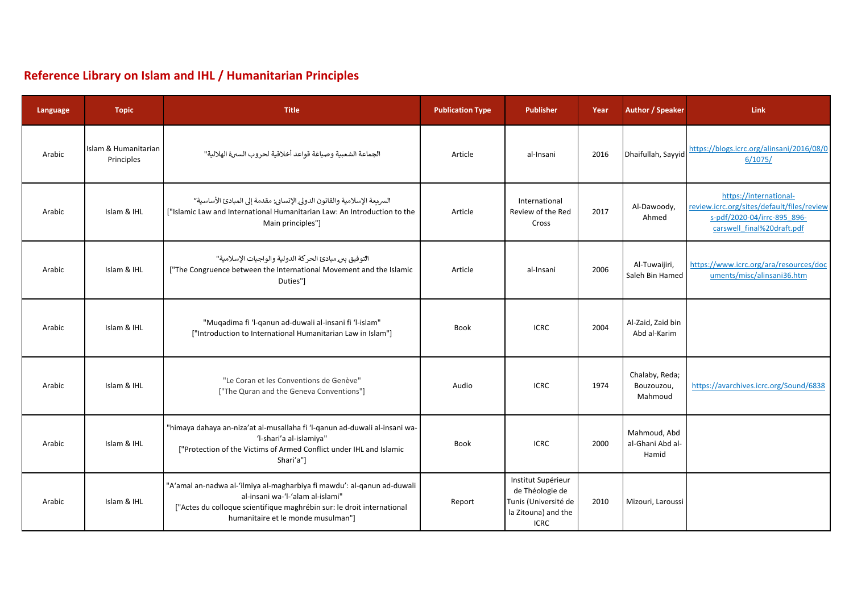## **Reference Library on Islam and IHL / Humanitarian Principles**

| Language | <b>Topic</b>                       | <b>Title</b>                                                                                                                                                                                                                | <b>Publication Type</b> | <b>Publisher</b>                                                                                    | Year | <b>Author / Speaker</b>                   | Link                                                                                                                              |
|----------|------------------------------------|-----------------------------------------------------------------------------------------------------------------------------------------------------------------------------------------------------------------------------|-------------------------|-----------------------------------------------------------------------------------------------------|------|-------------------------------------------|-----------------------------------------------------------------------------------------------------------------------------------|
| Arabic   | Islam & Humanitarian<br>Principles | الجماعة الشعبية وصياغة قواعد أخلاقية لحروب السبرة الهلالية''                                                                                                                                                                | Article                 | al-Insani                                                                                           | 2016 | Dhaifullah, Sayyid                        | https://blogs.icrc.org/alinsani/2016/08/0<br>6/1075/                                                                              |
| Arabic   | Islam & IHL                        | السريعة الإسلامية والقانون الدولي الإنسابي مقدمة إلى المبادئ الأساسية"<br>["Islamic Law and International Humanitarian Law: An Introduction to the<br>Main principles"]                                                     | Article                 | International<br>Review of the Red<br>Cross                                                         | 2017 | Al-Dawoody,<br>Ahmed                      | https://international-<br>review.icrc.org/sites/default/files/review<br>s-pdf/2020-04/irrc-895 896-<br>carswell final%20draft.pdf |
| Arabic   | Islam & IHL                        | التوفيق ببر مبادئ الحر كة الدولية والواجبات الإسلامية''<br>["The Congruence between the International Movement and the Islamic<br>Duties"]                                                                                  | Article                 | al-Insani                                                                                           | 2006 | Al-Tuwaijiri,<br>Saleh Bin Hamed          | https://www.icrc.org/ara/resources/doc<br>uments/misc/alinsani36.htm                                                              |
| Arabic   | Islam & IHL                        | "Muqadima fi 'l-qanun ad-duwali al-insani fi 'l-islam"<br>["Introduction to International Humanitarian Law in Islam"]                                                                                                       | Book                    | <b>ICRC</b>                                                                                         | 2004 | Al-Zaid, Zaid bin<br>Abd al-Karim         |                                                                                                                                   |
| Arabic   | Islam & IHL                        | "Le Coran et les Conventions de Genève"<br>["The Quran and the Geneva Conventions"]                                                                                                                                         | Audio                   | <b>ICRC</b>                                                                                         | 1974 | Chalaby, Reda;<br>Bouzouzou,<br>Mahmoud   | https://avarchives.icrc.org/Sound/6838                                                                                            |
| Arabic   | Islam & IHL                        | "himaya dahaya an-niza'at al-musallaha fi 'l-qanun ad-duwali al-insani wa-<br>'l-shari'a al-islamiya"<br>["Protection of the Victims of Armed Conflict under IHL and Islamic<br>Shari'a"]                                   | Book                    | <b>ICRC</b>                                                                                         | 2000 | Mahmoud, Abd<br>al-Ghani Abd al-<br>Hamid |                                                                                                                                   |
| Arabic   | Islam & IHL                        | "A'amal an-nadwa al-'ilmiya al-magharbiya fi mawdu': al-qanun ad-duwali<br>al-insani wa-'l-'alam al-islami"<br>["Actes du colloque scientifique maghrébin sur: le droit international<br>humanitaire et le monde musulman"] | Report                  | Institut Supérieur<br>de Théologie de<br>Tunis (Université de<br>la Zitouna) and the<br><b>ICRC</b> | 2010 | Mizouri, Laroussi                         |                                                                                                                                   |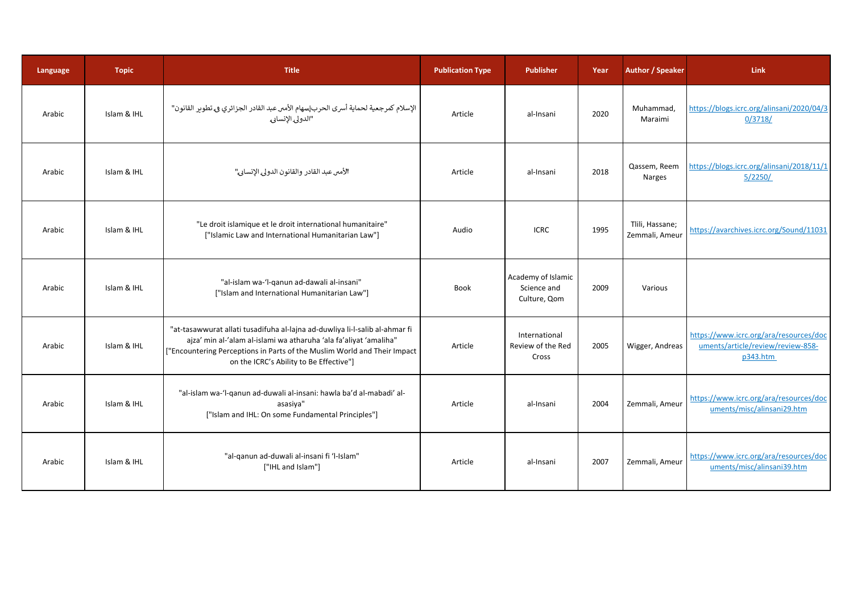| Language | <b>Topic</b> | <b>Title</b>                                                                                                                                                                                                                                                            | <b>Publication Type</b> | <b>Publisher</b>                                  | Year | <b>Author / Speaker</b>           | <b>Link</b>                                                                             |
|----------|--------------|-------------------------------------------------------------------------------------------------------------------------------------------------------------------------------------------------------------------------------------------------------------------------|-------------------------|---------------------------------------------------|------|-----------------------------------|-----------------------------------------------------------------------------------------|
| Arabic   | Islam & IHL  | الإسلام كمرجعية لحماية أسرى الحرب سهام الأمس عبد القادر الجزائري في تطوير القانون"<br>"الدولي العربي" التي تصميم التي المعلمي                                                                                                                                           | Article                 | al-Insani                                         | 2020 | Muhammad,<br>Maraimi              | https://blogs.icrc.org/alinsani/2020/04/3<br>0/3718/                                    |
| Arabic   | Islam & IHL  | الأمىر عبد القادر والقانون الدولي الإنسابي"                                                                                                                                                                                                                             | Article                 | al-Insani                                         | 2018 | Qassem, Reem<br>Narges            | https://blogs.icrc.org/alinsani/2018/11/1<br>5/2250/                                    |
| Arabic   | Islam & IHL  | "Le droit islamique et le droit international humanitaire"<br>["Islamic Law and International Humanitarian Law"]                                                                                                                                                        | Audio                   | <b>ICRC</b>                                       | 1995 | Tlili, Hassane;<br>Zemmali, Ameur | https://avarchives.icrc.org/Sound/11031                                                 |
| Arabic   | Islam & IHL  | "al-islam wa-'l-qanun ad-dawali al-insani"<br>["Islam and International Humanitarian Law"]                                                                                                                                                                              | Book                    | Academy of Islamic<br>Science and<br>Culture, Qom | 2009 | Various                           |                                                                                         |
| Arabic   | Islam & IHL  | "at-tasawwurat allati tusadifuha al-lajna ad-duwliya li-l-salib al-ahmar fi<br>ajza' min al-'alam al-islami wa atharuha 'ala fa'aliyat 'amaliha"<br>["Encountering Perceptions in Parts of the Muslim World and Their Impact<br>on the ICRC's Ability to Be Effective"] | Article                 | International<br>Review of the Red<br>Cross       | 2005 | Wigger, Andreas                   | https://www.icrc.org/ara/resources/doc<br>uments/article/review/review-858-<br>p343.htm |
| Arabic   | Islam & IHL  | "al-islam wa-'l-qanun ad-duwali al-insani: hawla ba'd al-mabadi' al-<br>asasiya"<br>["Islam and IHL: On some Fundamental Principles"]                                                                                                                                   | Article                 | al-Insani                                         | 2004 | Zemmali, Ameur                    | https://www.icrc.org/ara/resources/doc<br>uments/misc/alinsani29.htm                    |
| Arabic   | Islam & IHL  | "al-ganun ad-duwali al-insani fi 'l-Islam"<br>["IHL and Islam"]                                                                                                                                                                                                         | Article                 | al-Insani                                         | 2007 | Zemmali, Ameur                    | https://www.icrc.org/ara/resources/doc<br>uments/misc/alinsani39.htm                    |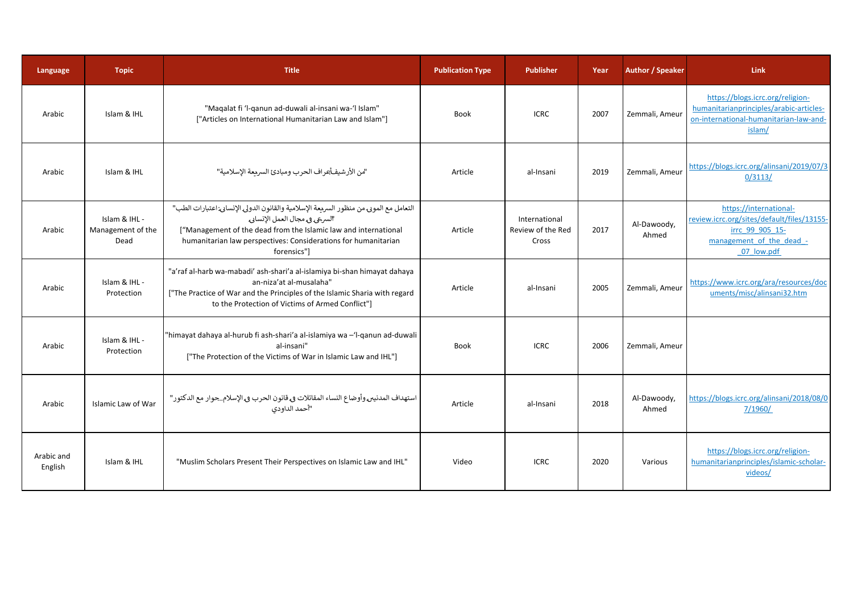| Language              | <b>Topic</b>                               | <b>Title</b>                                                                                                                                                                                                                                                             | <b>Publication Type</b> | <b>Publisher</b>                            | Year | <b>Author / Speaker</b> | <b>Link</b>                                                                                                                       |
|-----------------------|--------------------------------------------|--------------------------------------------------------------------------------------------------------------------------------------------------------------------------------------------------------------------------------------------------------------------------|-------------------------|---------------------------------------------|------|-------------------------|-----------------------------------------------------------------------------------------------------------------------------------|
| Arabic                | Islam & IHL                                | "Magalat fi 'l-ganun ad-duwali al-insani wa-'l Islam"<br>["Articles on International Humanitarian Law and Islam"]                                                                                                                                                        | <b>Book</b>             | <b>ICRC</b>                                 | 2007 | Zemmali, Ameur          | https://blogs.icrc.org/religion-<br>humanitarianprinciples/arabic-articles-<br>on-international-humanitarian-law-and-<br>islam/   |
| Arabic                | Islam & IHL                                | "من الأرشيفـأعراف الحرب ومبادئ السريعة الإسلامية"                                                                                                                                                                                                                        | Article                 | al-Insani                                   | 2019 | Zemmali, Ameur          | https://blogs.icrc.org/alinsani/2019/07/3<br>0/3113/                                                                              |
| Arabic                | Islam & IHL -<br>Management of the<br>Dead | التعامل مع الموبى من منظور السريعة الإسلامية والقانون الدولي الإنسابي اعتبارات الطب"<br>السرعى ويمجال العمل الإنسادي<br>["Management of the dead from the Islamic law and international<br>humanitarian law perspectives: Considerations for humanitarian<br>forensics"] | Article                 | International<br>Review of the Red<br>Cross | 2017 | Al-Dawoody,<br>Ahmed    | https://international-<br>review.icrc.org/sites/default/files/13155-<br>irrc 99 905 15-<br>management of the dead -<br>07 low.pdf |
| Arabic                | Islam & IHL -<br>Protection                | "a'raf al-harb wa-mabadi' ash-shari'a al-islamiya bi-shan himayat dahaya<br>an-niza'at al-musalaha"<br>["The Practice of War and the Principles of the Islamic Sharia with regard<br>to the Protection of Victims of Armed Conflict"]                                    | Article                 | al-Insani                                   | 2005 | Zemmali, Ameur          | https://www.icrc.org/ara/resources/doc<br>uments/misc/alinsani32.htm                                                              |
| Arabic                | Islam & IHL -<br>Protection                | "himayat dahaya al-hurub fi ash-shari'a al-islamiya wa -'l-qanun ad-duwali<br>al-insani"<br>["The Protection of the Victims of War in Islamic Law and IHL"]                                                                                                              | <b>Book</b>             | <b>ICRC</b>                                 | 2006 | Zemmali, Ameur          |                                                                                                                                   |
| Arabic                | Islamic Law of War                         | استهداف المدنيى وأوضاع النساء المقاتلات في قانون الحرب في الإسلامجوار مع الدكتور"<br>"أحمد الدامون"                                                                                                                                                                      | Article                 | al-Insani                                   | 2018 | Al-Dawoody,<br>Ahmed    | https://blogs.icrc.org/alinsani/2018/08/0<br>7/1960/                                                                              |
| Arabic and<br>English | Islam & IHL                                | "Muslim Scholars Present Their Perspectives on Islamic Law and IHL"                                                                                                                                                                                                      | Video                   | <b>ICRC</b>                                 | 2020 | Various                 | https://blogs.icrc.org/religion-<br>humanitarianprinciples/islamic-scholar-<br>videos/                                            |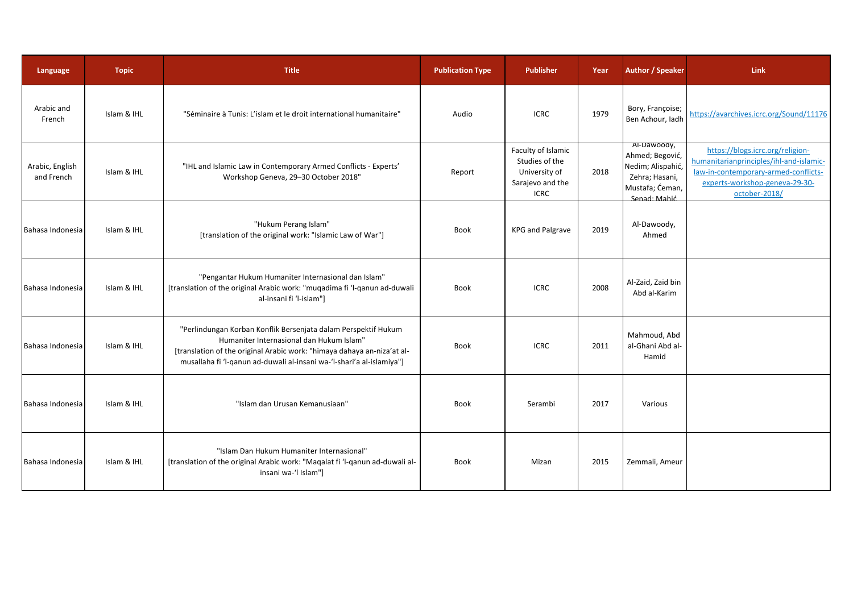| Language                      | <b>Topic</b> | <b>Title</b>                                                                                                                                                                                                                                                   | <b>Publication Type</b> | <b>Publisher</b>                                                                         | Year | Author / Speaker                                                                                         | <b>Link</b>                                                                                                                                                            |
|-------------------------------|--------------|----------------------------------------------------------------------------------------------------------------------------------------------------------------------------------------------------------------------------------------------------------------|-------------------------|------------------------------------------------------------------------------------------|------|----------------------------------------------------------------------------------------------------------|------------------------------------------------------------------------------------------------------------------------------------------------------------------------|
| Arabic and<br>French          | Islam & IHL  | "Séminaire à Tunis: L'islam et le droit international humanitaire"                                                                                                                                                                                             | Audio                   | <b>ICRC</b>                                                                              | 1979 | Bory, Françoise;<br>Ben Achour, ladh                                                                     | https://avarchives.icrc.org/Sound/11176                                                                                                                                |
| Arabic, English<br>and French | Islam & IHL  | "IHL and Islamic Law in Contemporary Armed Conflicts - Experts'<br>Workshop Geneva, 29-30 October 2018"                                                                                                                                                        | Report                  | Faculty of Islamic<br>Studies of the<br>University of<br>Sarajevo and the<br><b>ICRC</b> | 2018 | Al-Dawoody,<br>Ahmed; Begović,<br>Nedim; Alispahić,<br>Zehra; Hasani,<br>Mustafa; Ćeman,<br>Senad: Mahić | https://blogs.icrc.org/religion-<br>humanitarianprinciples/ihl-and-islamic-<br>law-in-contemporary-armed-conflicts-<br>experts-workshop-geneva-29-30-<br>october-2018/ |
| Bahasa Indonesia              | Islam & IHL  | "Hukum Perang Islam"<br>[translation of the original work: "Islamic Law of War"]                                                                                                                                                                               | <b>Book</b>             | <b>KPG and Palgrave</b>                                                                  | 2019 | Al-Dawoody,<br>Ahmed                                                                                     |                                                                                                                                                                        |
| Bahasa Indonesia              | Islam & IHL  | "Pengantar Hukum Humaniter Internasional dan Islam"<br>[translation of the original Arabic work: "muqadima fi 'l-qanun ad-duwali<br>al-insani fi 'l-islam"]                                                                                                    | Book                    | <b>ICRC</b>                                                                              | 2008 | Al-Zaid, Zaid bin<br>Abd al-Karim                                                                        |                                                                                                                                                                        |
| Bahasa Indonesia              | Islam & IHL  | "Perlindungan Korban Konflik Bersenjata dalam Perspektif Hukum<br>Humaniter Internasional dan Hukum Islam"<br>[translation of the original Arabic work: "himaya dahaya an-niza'at al-<br>musallaha fi 'l-qanun ad-duwali al-insani wa-'l-shari'a al-islamiya"] | <b>Book</b>             | <b>ICRC</b>                                                                              | 2011 | Mahmoud, Abd<br>al-Ghani Abd al-<br>Hamid                                                                |                                                                                                                                                                        |
| Bahasa Indonesia              | Islam & IHL  | "Islam dan Urusan Kemanusiaan"                                                                                                                                                                                                                                 | Book                    | Serambi                                                                                  | 2017 | Various                                                                                                  |                                                                                                                                                                        |
| Bahasa Indonesia              | Islam & IHL  | "Islam Dan Hukum Humaniter Internasional"<br>[translation of the original Arabic work: "Maqalat fi 'l-qanun ad-duwali al-<br>insani wa-'l Islam"]                                                                                                              | <b>Book</b>             | Mizan                                                                                    | 2015 | Zemmali, Ameur                                                                                           |                                                                                                                                                                        |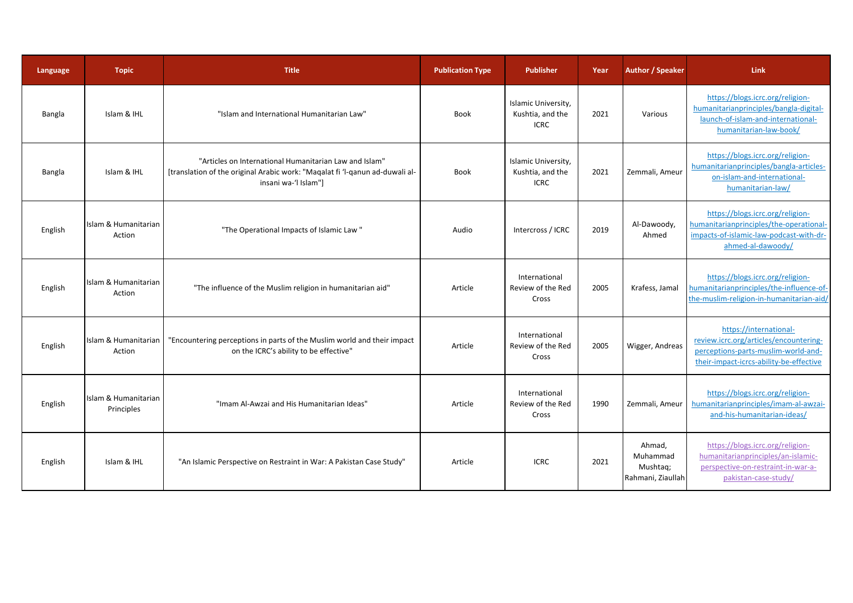| Language | <b>Topic</b>                       | <b>Title</b>                                                                                                                                                   | <b>Publication Type</b> | <b>Publisher</b>                                       | Year | <b>Author / Speaker</b>                             | <b>Link</b>                                                                                                                                        |
|----------|------------------------------------|----------------------------------------------------------------------------------------------------------------------------------------------------------------|-------------------------|--------------------------------------------------------|------|-----------------------------------------------------|----------------------------------------------------------------------------------------------------------------------------------------------------|
| Bangla   | Islam & IHL                        | "Islam and International Humanitarian Law"                                                                                                                     | <b>Book</b>             | Islamic University,<br>Kushtia, and the<br><b>ICRC</b> | 2021 | Various                                             | https://blogs.icrc.org/religion-<br>humanitarianprinciples/bangla-digital-<br>launch-of-islam-and-international-<br>humanitarian-law-book/         |
| Bangla   | Islam & IHL                        | "Articles on International Humanitarian Law and Islam"<br>[translation of the original Arabic work: "Magalat fi 'l-ganun ad-duwali al-<br>insani wa-'l Islam"] | Book                    | Islamic University,<br>Kushtia, and the<br><b>ICRC</b> | 2021 | Zemmali, Ameur                                      | https://blogs.icrc.org/religion-<br>humanitarianprinciples/bangla-articles-<br>on-islam-and-international-<br>humanitarian-law/                    |
| English  | Islam & Humanitarian<br>Action     | "The Operational Impacts of Islamic Law"                                                                                                                       | Audio                   | Intercross / ICRC                                      | 2019 | Al-Dawoody,<br>Ahmed                                | https://blogs.icrc.org/religion-<br>humanitarianprinciples/the-operational-<br>impacts-of-islamic-law-podcast-with-dr-<br>ahmed-al-dawoody/        |
| English  | Islam & Humanitarian<br>Action     | "The influence of the Muslim religion in humanitarian aid"                                                                                                     | Article                 | International<br>Review of the Red<br>Cross            | 2005 | Krafess, Jamal                                      | https://blogs.icrc.org/religion-<br>humanitarianprinciples/the-influence-of-<br>the-muslim-religion-in-humanitarian-aid/                           |
| English  | Islam & Humanitarian<br>Action     | "Encountering perceptions in parts of the Muslim world and their impact<br>on the ICRC's ability to be effective"                                              | Article                 | International<br>Review of the Red<br>Cross            | 2005 | Wigger, Andreas                                     | https://international-<br>review.icrc.org/articles/encountering-<br>perceptions-parts-muslim-world-and-<br>their-impact-icrcs-ability-be-effective |
| English  | Islam & Humanitarian<br>Principles | "Imam Al-Awzai and His Humanitarian Ideas"                                                                                                                     | Article                 | International<br>Review of the Red<br>Cross            | 1990 | Zemmali, Ameur                                      | https://blogs.icrc.org/religion-<br>humanitarianprinciples/imam-al-awzai-<br>and-his-humanitarian-ideas/                                           |
| English  | Islam & IHL                        | "An Islamic Perspective on Restraint in War: A Pakistan Case Study"                                                                                            | Article                 | <b>ICRC</b>                                            | 2021 | Ahmad,<br>Muhammad<br>Mushtag;<br>Rahmani, Ziaullah | https://blogs.icrc.org/religion-<br>humanitarianprinciples/an-islamic-<br>perspective-on-restraint-in-war-a-<br>pakistan-case-study/               |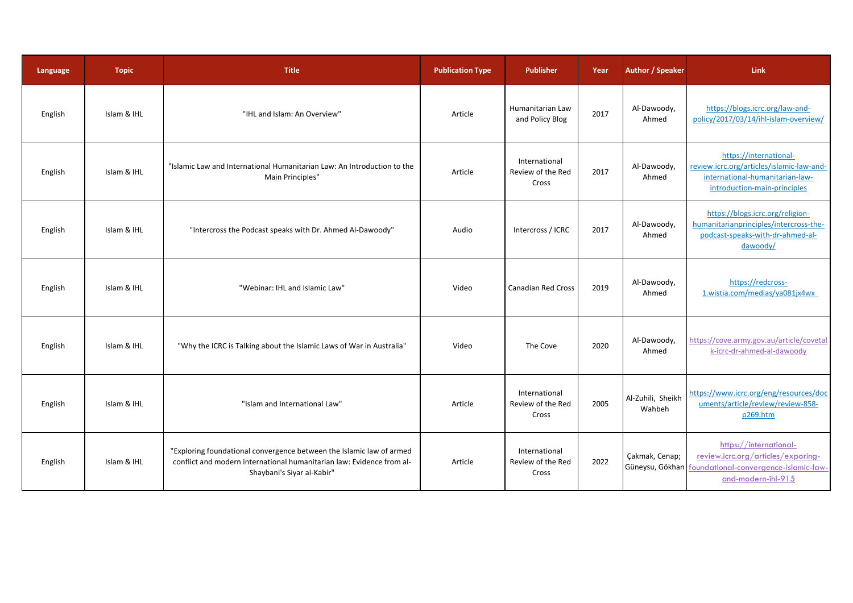| Language | <b>Topic</b> | <b>Title</b>                                                                                                                                                                | <b>Publication Type</b> | <b>Publisher</b>                            | Year | <b>Author / Speaker</b>     | Link                                                                                                                                        |
|----------|--------------|-----------------------------------------------------------------------------------------------------------------------------------------------------------------------------|-------------------------|---------------------------------------------|------|-----------------------------|---------------------------------------------------------------------------------------------------------------------------------------------|
| English  | Islam & IHL  | "IHL and Islam: An Overview"                                                                                                                                                | Article                 | Humanitarian Law<br>and Policy Blog         | 2017 | Al-Dawoody,<br>Ahmed        | https://blogs.icrc.org/law-and-<br>policy/2017/03/14/ihl-islam-overview/                                                                    |
| English  | Islam & IHL  | "Islamic Law and International Humanitarian Law: An Introduction to the<br>Main Principles"                                                                                 | Article                 | International<br>Review of the Red<br>Cross | 2017 | Al-Dawoody,<br>Ahmed        | https://international-<br>review.icrc.org/articles/islamic-law-and-<br>international-humanitarian-law-<br>introduction-main-principles      |
| English  | Islam & IHL  | "Intercross the Podcast speaks with Dr. Ahmed Al-Dawoody"                                                                                                                   | Audio                   | Intercross / ICRC                           | 2017 | Al-Dawoody,<br>Ahmed        | https://blogs.icrc.org/religion-<br>humanitarianprinciples/intercross-the-<br>podcast-speaks-with-dr-ahmed-al-<br>dawoody/                  |
| English  | Islam & IHL  | "Webinar: IHL and Islamic Law"                                                                                                                                              | Video                   | <b>Canadian Red Cross</b>                   | 2019 | Al-Dawoody,<br>Ahmed        | https://redcross-<br>1.wistia.com/medias/ya081jx4wx                                                                                         |
| English  | Islam & IHL  | "Why the ICRC is Talking about the Islamic Laws of War in Australia"                                                                                                        | Video                   | The Cove                                    | 2020 | Al-Dawoody,<br>Ahmed        | https://cove.army.gov.au/article/covetal<br>k-icrc-dr-ahmed-al-dawoody                                                                      |
| English  | Islam & IHL  | "Islam and International Law"                                                                                                                                               | Article                 | International<br>Review of the Red<br>Cross | 2005 | Al-Zuhili, Sheikh<br>Wahbeh | https://www.icrc.org/eng/resources/doc<br>uments/article/review/review-858-<br>p269.htm                                                     |
| English  | Islam & IHL  | "Exploring foundational convergence between the Islamic law of armed<br>conflict and modern international humanitarian law: Evidence from al-<br>Shaybani's Siyar al-Kabir" | Article                 | International<br>Review of the Red<br>Cross | 2022 | Cakmak, Cenap;              | https://international-<br>review.icrc.org/articles/exporing-<br>Güneysu, Gökhan foundational-convergence-islamic-law-<br>and-modern-ihl-915 |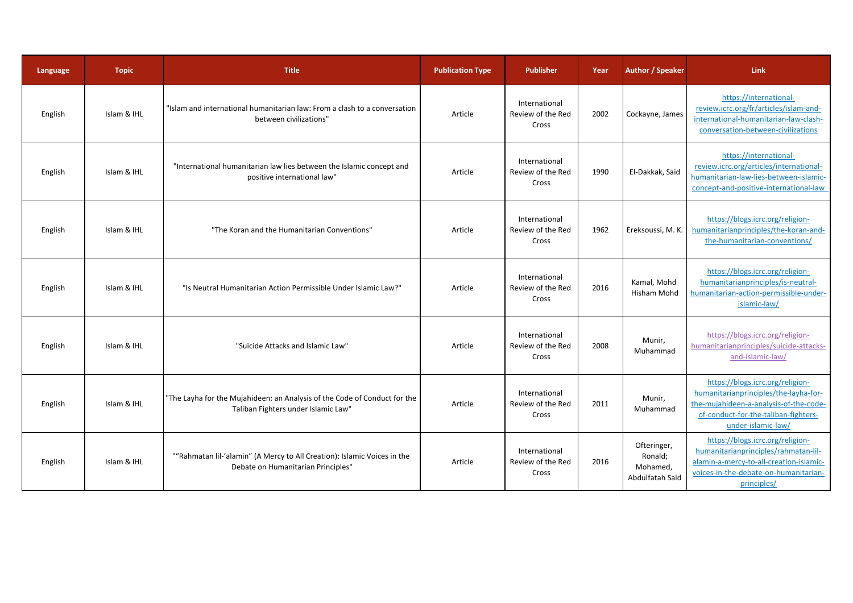| Language | <b>Topic</b> | <b>Title</b>                                                                                                     | <b>Publication Type</b> | <b>Publisher</b>                            | Year | Author / Speaker                                      | <b>Link</b>                                                                                                                                                                       |
|----------|--------------|------------------------------------------------------------------------------------------------------------------|-------------------------|---------------------------------------------|------|-------------------------------------------------------|-----------------------------------------------------------------------------------------------------------------------------------------------------------------------------------|
| English  | Islam & IHL  | "Islam and international humanitarian law: From a clash to a conversation<br>between civilizations"              | Article                 | International<br>Review of the Red<br>Cross | 2002 | Cockayne, James                                       | https://international-<br>review.icrc.org/fr/articles/islam-and-<br>international-humanitarian-law-clash-<br>conversation-between-civilizations                                   |
| English  | Islam & IHL  | "International humanitarian law lies between the Islamic concept and<br>positive international law"              | Article                 | International<br>Review of the Red<br>Cross | 1990 | El-Dakkak, Said                                       | https://international-<br>review.icrc.org/articles/international-<br>humanitarian-law-lies-between-islamic-<br>concept-and-positive-international-law                             |
| English  | Islam & IHL  | "The Koran and the Humanitarian Conventions"                                                                     | Article                 | International<br>Review of the Red<br>Cross | 1962 | Ereksoussi, M. K.                                     | https://blogs.icrc.org/religion-<br>humanitarianprinciples/the-koran-and-<br>the-humanitarian-conventions/                                                                        |
| English  | Islam & IHL  | "Is Neutral Humanitarian Action Permissible Under Islamic Law?"                                                  | Article                 | International<br>Review of the Red<br>Cross | 2016 | Kamal, Mohd<br>Hisham Mohd                            | https://blogs.icrc.org/religion-<br>humanitarianprinciples/is-neutral-<br>humanitarian-action-permissible-under-<br>islamic-law/                                                  |
| English  | Islam & IHL  | "Suicide Attacks and Islamic Law"                                                                                | Article                 | International<br>Review of the Red<br>Cross | 2008 | Munir,<br>Muhammad                                    | https://blogs.icrc.org/religion-<br>humanitarianprinciples/suicide-attacks-<br>and-islamic-law/                                                                                   |
| English  | Islam & IHL  | "The Layha for the Mujahideen: an Analysis of the Code of Conduct for the<br>Taliban Fighters under Islamic Law" | Article                 | International<br>Review of the Red<br>Cross | 2011 | Munir,<br>Muhammad                                    | https://blogs.icrc.org/religion-<br>humanitarianprinciples/the-layha-for-<br>the-mujahideen-a-analysis-of-the-code-<br>of-conduct-for-the-taliban-fighters-<br>under-islamic-law/ |
| English  | Islam & IHL  | ""Rahmatan lil-'alamin" (A Mercy to All Creation): Islamic Voices in the<br>Debate on Humanitarian Principles"   | Article                 | International<br>Review of the Red<br>Cross | 2016 | Ofteringer,<br>Ronald;<br>Mohamed,<br>Abdulfatah Said | https://blogs.icrc.org/religion-<br>humanitarianprinciples/rahmatan-lil-<br>alamin-a-mercy-to-all-creation-islamic-<br>voices-in-the-debate-on-humanitarian-<br>principles/       |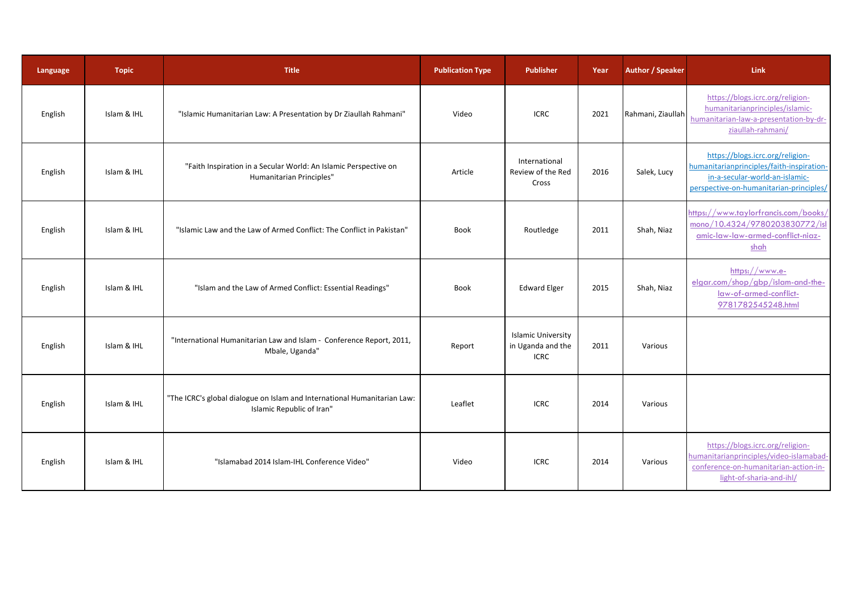| Language | <b>Topic</b> | <b>Title</b>                                                                                          | <b>Publication Type</b> | <b>Publisher</b>                                              | Year | <b>Author / Speaker</b> | <b>Link</b>                                                                                                                                                |
|----------|--------------|-------------------------------------------------------------------------------------------------------|-------------------------|---------------------------------------------------------------|------|-------------------------|------------------------------------------------------------------------------------------------------------------------------------------------------------|
| English  | Islam & IHL  | "Islamic Humanitarian Law: A Presentation by Dr Ziaullah Rahmani"                                     | Video                   | <b>ICRC</b>                                                   | 2021 | Rahmani, Ziaullah       | https://blogs.icrc.org/religion-<br>humanitarianprinciples/islamic-<br>humanitarian-law-a-presentation-by-dr-<br>ziaullah-rahmani/                         |
| English  | Islam & IHL  | "Faith Inspiration in a Secular World: An Islamic Perspective on<br>Humanitarian Principles"          | Article                 | International<br>Review of the Red<br>Cross                   | 2016 | Salek, Lucy             | https://blogs.icrc.org/religion-<br>humanitarianprinciples/faith-inspiration-<br>in-a-secular-world-an-islamic-<br>perspective-on-humanitarian-principles/ |
| English  | Islam & IHL  | "Islamic Law and the Law of Armed Conflict: The Conflict in Pakistan"                                 | Book                    | Routledge                                                     | 2011 | Shah, Niaz              | https://www.taylorfrancis.com/books/<br>mono/10.4324/9780203830772/isl<br>amic-law-law-armed-conflict-niaz-<br>shah                                        |
| English  | Islam & IHL  | "Islam and the Law of Armed Conflict: Essential Readings"                                             | Book                    | <b>Edward Elger</b>                                           | 2015 | Shah, Niaz              | https://www.e-<br>elgar.com/shop/gbp/islam-and-the-<br>law-of-armed-conflict-<br>9781782545248.html                                                        |
| English  | Islam & IHL  | "International Humanitarian Law and Islam - Conference Report, 2011,<br>Mbale, Uganda'                | Report                  | <b>Islamic University</b><br>in Uganda and the<br><b>ICRC</b> | 2011 | Various                 |                                                                                                                                                            |
| English  | Islam & IHL  | "The ICRC's global dialogue on Islam and International Humanitarian Law:<br>Islamic Republic of Iran" | Leaflet                 | <b>ICRC</b>                                                   | 2014 | Various                 |                                                                                                                                                            |
| English  | Islam & IHL  | "Islamabad 2014 Islam-IHL Conference Video"                                                           | Video                   | <b>ICRC</b>                                                   | 2014 | Various                 | https://blogs.icrc.org/religion-<br>humanitarianprinciples/video-islamabad-<br>conference-on-humanitarian-action-in-<br>light-of-sharia-and-ihl/           |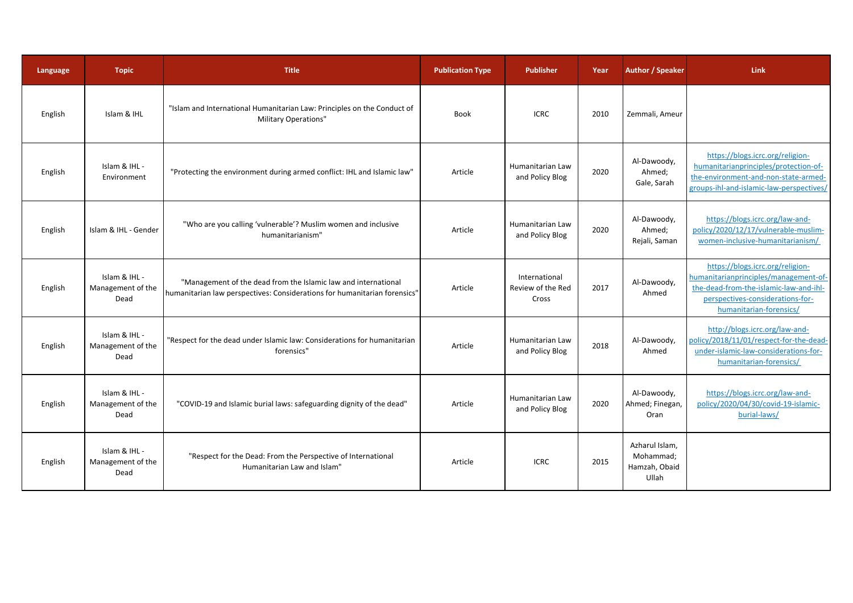| Language | <b>Topic</b>                               | <b>Title</b>                                                                                                                                | <b>Publication Type</b> | <b>Publisher</b>                            | Year | Author / Speaker                                      | <b>Link</b>                                                                                                                                                                        |
|----------|--------------------------------------------|---------------------------------------------------------------------------------------------------------------------------------------------|-------------------------|---------------------------------------------|------|-------------------------------------------------------|------------------------------------------------------------------------------------------------------------------------------------------------------------------------------------|
| English  | Islam & IHL                                | "Islam and International Humanitarian Law: Principles on the Conduct of<br>Military Operations"                                             | <b>Book</b>             | <b>ICRC</b>                                 | 2010 | Zemmali, Ameur                                        |                                                                                                                                                                                    |
| English  | Islam & IHL -<br>Environment               | "Protecting the environment during armed conflict: IHL and Islamic law"                                                                     | Article                 | Humanitarian Law<br>and Policy Blog         | 2020 | Al-Dawoody,<br>Ahmed;<br>Gale, Sarah                  | https://blogs.icrc.org/religion-<br>humanitarianprinciples/protection-of-<br>the-environment-and-non-state-armed-<br>groups-ihl-and-islamic-law-perspectives/                      |
| English  | Islam & IHL - Gender                       | "Who are you calling 'vulnerable'? Muslim women and inclusive<br>humanitarianism"                                                           | Article                 | Humanitarian Law<br>and Policy Blog         | 2020 | Al-Dawoody,<br>Ahmed;<br>Rejali, Saman                | https://blogs.icrc.org/law-and-<br>policy/2020/12/17/vulnerable-muslim-<br>women-inclusive-humanitarianism/                                                                        |
| English  | Islam & IHL -<br>Management of the<br>Dead | "Management of the dead from the Islamic law and international<br>humanitarian law perspectives: Considerations for humanitarian forensics" | Article                 | International<br>Review of the Red<br>Cross | 2017 | Al-Dawoody,<br>Ahmed                                  | https://blogs.icrc.org/religion-<br>humanitarianprinciples/management-of-<br>the-dead-from-the-islamic-law-and-ihl-<br>perspectives-considerations-for-<br>humanitarian-forensics/ |
| English  | Islam & IHL -<br>Management of the<br>Dead | "Respect for the dead under Islamic law: Considerations for humanitarian<br>forensics"                                                      | Article                 | Humanitarian Law<br>and Policy Blog         | 2018 | Al-Dawoody,<br>Ahmed                                  | http://blogs.icrc.org/law-and-<br>policy/2018/11/01/respect-for-the-dead-<br>under-islamic-law-considerations-for-<br>humanitarian-forensics/                                      |
| English  | Islam & IHL -<br>Management of the<br>Dead | "COVID-19 and Islamic burial laws: safeguarding dignity of the dead"                                                                        | Article                 | Humanitarian Law<br>and Policy Blog         | 2020 | Al-Dawoody,<br>Ahmed; Finegan,<br>Oran                | https://blogs.icrc.org/law-and-<br>policy/2020/04/30/covid-19-islamic-<br>burial-laws/                                                                                             |
| English  | Islam & IHL -<br>Management of the<br>Dead | "Respect for the Dead: From the Perspective of International<br>Humanitarian Law and Islam'                                                 | Article                 | <b>ICRC</b>                                 | 2015 | Azharul Islam,<br>Mohammad;<br>Hamzah, Obaid<br>Ullah |                                                                                                                                                                                    |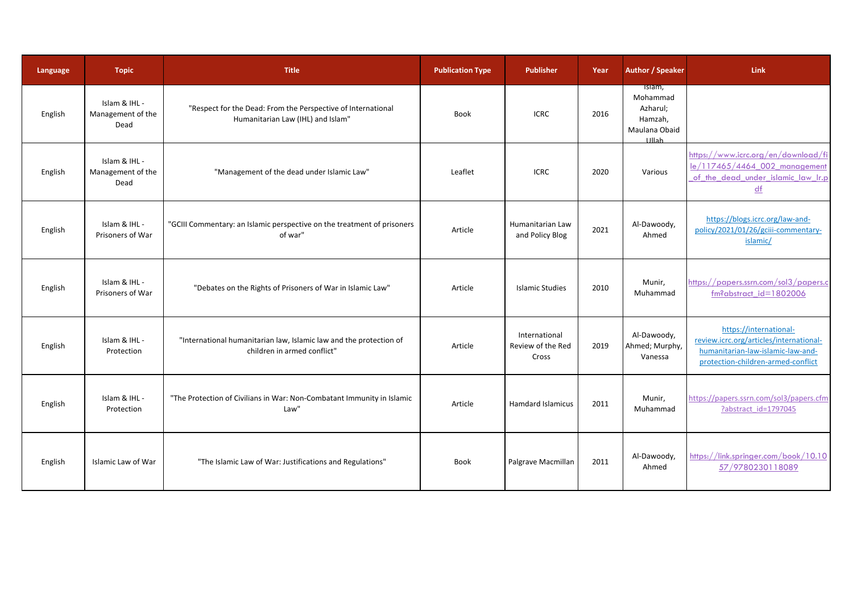| Language | <b>Topic</b>                               | <b>Title</b>                                                                                      | <b>Publication Type</b> | <b>Publisher</b>                            | Year | <b>Author / Speaker</b>                                                    | <b>Link</b>                                                                                                                                  |
|----------|--------------------------------------------|---------------------------------------------------------------------------------------------------|-------------------------|---------------------------------------------|------|----------------------------------------------------------------------------|----------------------------------------------------------------------------------------------------------------------------------------------|
| English  | Islam & IHL -<br>Management of the<br>Dead | "Respect for the Dead: From the Perspective of International<br>Humanitarian Law (IHL) and Islam" | <b>Book</b>             | <b>ICRC</b>                                 | 2016 | Islam,<br>Mohammad<br>Azharul;<br>Hamzah,<br>Maulana Obaid<br><b>Illah</b> |                                                                                                                                              |
| English  | Islam & IHL -<br>Management of the<br>Dead | "Management of the dead under Islamic Law"                                                        | Leaflet                 | <b>ICRC</b>                                 | 2020 | Various                                                                    | https://www.icrc.org/en/download/fi<br>le/117465/4464 002 management<br>of the dead under islamic law Ir.p<br>df                             |
| English  | Islam & IHL -<br>Prisoners of War          | "GCIII Commentary: an Islamic perspective on the treatment of prisoners<br>of war"                | Article                 | Humanitarian Law<br>and Policy Blog         | 2021 | Al-Dawoody,<br>Ahmed                                                       | https://blogs.icrc.org/law-and-<br>policy/2021/01/26/gciii-commentary-<br>islamic/                                                           |
| English  | Islam & IHL -<br>Prisoners of War          | "Debates on the Rights of Prisoners of War in Islamic Law"                                        | Article                 | <b>Islamic Studies</b>                      | 2010 | Munir,<br>Muhammad                                                         | https://papers.ssrn.com/sol3/papers.c<br>$fm$ ?abstract_id=1802006                                                                           |
| English  | Islam & IHL -<br>Protection                | "International humanitarian law, Islamic law and the protection of<br>children in armed conflict" | Article                 | International<br>Review of the Red<br>Cross | 2019 | Al-Dawoody,<br>Ahmed; Murphy,<br>Vanessa                                   | https://international-<br>review.icrc.org/articles/international-<br>humanitarian-law-islamic-law-and-<br>protection-children-armed-conflict |
| English  | Islam & IHL -<br>Protection                | "The Protection of Civilians in War: Non-Combatant Immunity in Islamic<br>Law"                    | Article                 | Hamdard Islamicus                           | 2011 | Munir,<br>Muhammad                                                         | https://papers.ssrn.com/sol3/papers.cfm<br>?abstract id=1797045                                                                              |
| English  | Islamic Law of War                         | "The Islamic Law of War: Justifications and Regulations"                                          | Book                    | Palgrave Macmillan                          | 2011 | Al-Dawoody,<br>Ahmed                                                       | https://link.springer.com/book/10.10<br>57/9780230118089                                                                                     |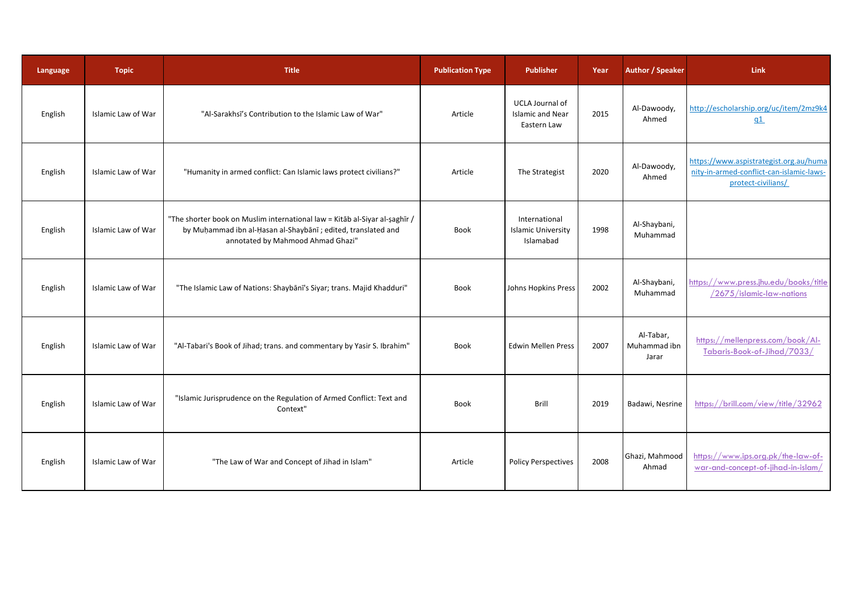| Language | <b>Topic</b>       | <b>Title</b>                                                                                                                                                                     | <b>Publication Type</b> | <b>Publisher</b>                                                 | Year | <b>Author / Speaker</b>            | <b>Link</b>                                                                                              |
|----------|--------------------|----------------------------------------------------------------------------------------------------------------------------------------------------------------------------------|-------------------------|------------------------------------------------------------------|------|------------------------------------|----------------------------------------------------------------------------------------------------------|
| English  | Islamic Law of War | "Al-Sarakhsī's Contribution to the Islamic Law of War"                                                                                                                           | Article                 | <b>UCLA Journal of</b><br><b>Islamic and Near</b><br>Eastern Law | 2015 | Al-Dawoody,<br>Ahmed               | http://escholarship.org/uc/item/2mz9k4<br>q1                                                             |
| English  | Islamic Law of War | "Humanity in armed conflict: Can Islamic laws protect civilians?"                                                                                                                | Article                 | The Strategist                                                   | 2020 | Al-Dawoody,<br>Ahmed               | https://www.aspistrategist.org.au/huma<br>nity-in-armed-conflict-can-islamic-laws-<br>protect-civilians/ |
| English  | Islamic Law of War | "The shorter book on Muslim international law = Kitab al-Siyar al-saghir /<br>by Muhammad ibn al-Hasan al-Shaybānī ; edited, translated and<br>annotated by Mahmood Ahmad Ghazi" | Book                    | International<br><b>Islamic University</b><br>Islamabad          | 1998 | Al-Shaybani,<br>Muhammad           |                                                                                                          |
| English  | Islamic Law of War | "The Islamic Law of Nations: Shaybanī's Siyar; trans. Majid Khadduri"                                                                                                            | Book                    | Johns Hopkins Press                                              | 2002 | Al-Shaybani,<br>Muhammad           | https://www.press.jhu.edu/books/title<br>/2675/islamic-law-nations                                       |
| English  | Islamic Law of War | "Al-Tabari's Book of Jihad; trans. and commentary by Yasir S. Ibrahim"                                                                                                           | Book                    | <b>Edwin Mellen Press</b>                                        | 2007 | Al-Tabar,<br>Muhammad ibn<br>Jarar | https://mellenpress.com/book/Al-<br>Tabaris-Book-of-Jihad/7033/                                          |
| English  | Islamic Law of War | "Islamic Jurisprudence on the Regulation of Armed Conflict: Text and<br>Context"                                                                                                 | <b>Book</b>             | <b>Brill</b>                                                     | 2019 | Badawi, Nesrine                    | https://brill.com/view/title/32962                                                                       |
| English  | Islamic Law of War | "The Law of War and Concept of Jihad in Islam"                                                                                                                                   | Article                 | <b>Policy Perspectives</b>                                       | 2008 | Ghazi, Mahmood<br>Ahmad            | https://www.ips.org.pk/the-law-of-<br>war-and-concept-of-jihad-in-islam/                                 |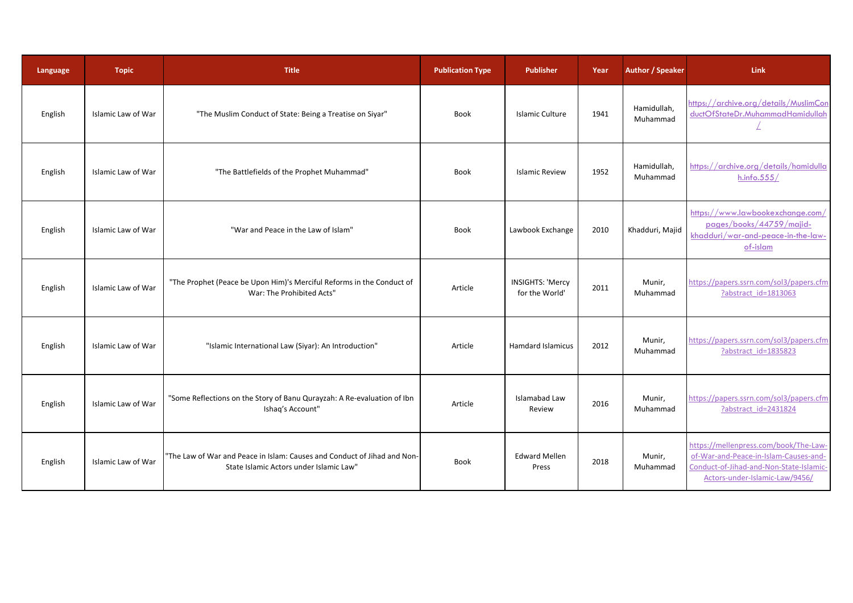| Language | <b>Topic</b>       | <b>Title</b>                                                                                                        | <b>Publication Type</b> | <b>Publisher</b>                          | Year | <b>Author / Speaker</b> | Link                                                                                                                                                        |
|----------|--------------------|---------------------------------------------------------------------------------------------------------------------|-------------------------|-------------------------------------------|------|-------------------------|-------------------------------------------------------------------------------------------------------------------------------------------------------------|
| English  | Islamic Law of War | "The Muslim Conduct of State: Being a Treatise on Siyar"                                                            | <b>Book</b>             | Islamic Culture                           | 1941 | Hamidullah,<br>Muhammad | https://archive.org/details/MuslimCon<br>ductOfStateDr.MuhammadHamidullah                                                                                   |
| English  | Islamic Law of War | "The Battlefields of the Prophet Muhammad"                                                                          | Book                    | <b>Islamic Review</b>                     | 1952 | Hamidullah,<br>Muhammad | https://archive.org/details/hamidulla<br>h.info.555/                                                                                                        |
| English  | Islamic Law of War | "War and Peace in the Law of Islam"                                                                                 | Book                    | Lawbook Exchange                          | 2010 | Khadduri, Majid         | https://www.lawbookexchange.com/<br>pages/books/44759/majid-<br>khadduri/war-and-peace-in-the-law-<br>of-islam                                              |
| English  | Islamic Law of War | "The Prophet (Peace be Upon Him)'s Merciful Reforms in the Conduct of<br>War: The Prohibited Acts"                  | Article                 | <b>INSIGHTS: 'Mercy</b><br>for the World' | 2011 | Munir,<br>Muhammad      | https://papers.ssrn.com/sol3/papers.cfm<br>?abstract id=1813063                                                                                             |
| English  | Islamic Law of War | "Islamic International Law (Siyar): An Introduction"                                                                | Article                 | <b>Hamdard Islamicus</b>                  | 2012 | Munir,<br>Muhammad      | https://papers.ssrn.com/sol3/papers.cfm<br>?abstract id=1835823                                                                                             |
| English  | Islamic Law of War | "Some Reflections on the Story of Banu Qurayzah: A Re-evaluation of Ibn<br>Ishaq's Account"                         | Article                 | Islamabad Law<br>Review                   | 2016 | Munir,<br>Muhammad      | https://papers.ssrn.com/sol3/papers.cfm<br>?abstract id=2431824                                                                                             |
| English  | Islamic Law of War | "The Law of War and Peace in Islam: Causes and Conduct of Jihad and Non-<br>State Islamic Actors under Islamic Law" | Book                    | <b>Edward Mellen</b><br>Press             | 2018 | Munir,<br>Muhammad      | https://mellenpress.com/book/The-Law-<br>of-War-and-Peace-in-Islam-Causes-and-<br>Conduct-of-Jihad-and-Non-State-Islamic-<br>Actors-under-Islamic-Law/9456/ |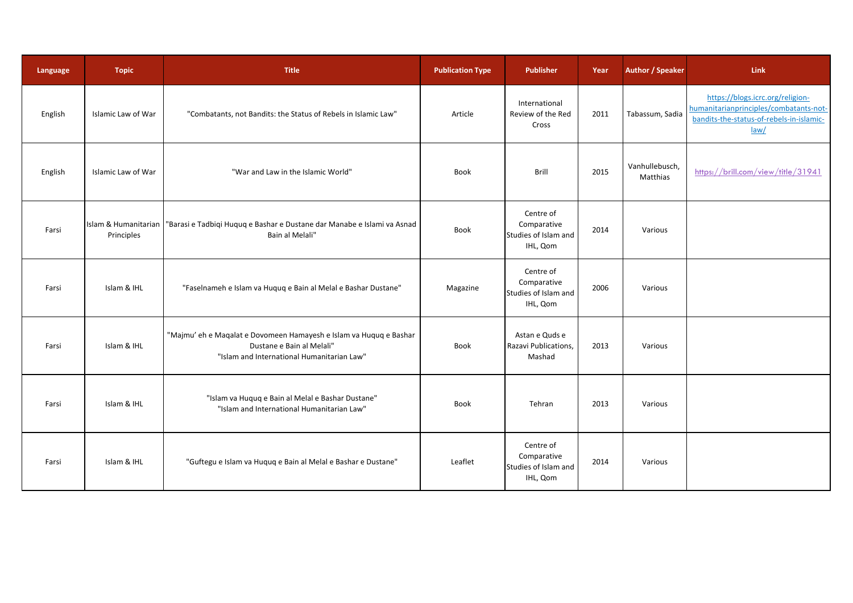| Language | <b>Topic</b>                       | <b>Title</b>                                                                                                                                  | <b>Publication Type</b> | <b>Publisher</b>                                             | Year | <b>Author / Speaker</b>    | Link                                                                                                                           |
|----------|------------------------------------|-----------------------------------------------------------------------------------------------------------------------------------------------|-------------------------|--------------------------------------------------------------|------|----------------------------|--------------------------------------------------------------------------------------------------------------------------------|
| English  | Islamic Law of War                 | "Combatants, not Bandits: the Status of Rebels in Islamic Law"                                                                                | Article                 | International<br>Review of the Red<br>Cross                  | 2011 | Tabassum, Sadia            | https://blogs.icrc.org/religion-<br>humanitarianprinciples/combatants-not-<br>bandits-the-status-of-rebels-in-islamic-<br>law/ |
| English  | Islamic Law of War                 | "War and Law in the Islamic World"                                                                                                            | Book                    | Brill                                                        | 2015 | Vanhullebusch,<br>Matthias | https://brill.com/view/title/31941                                                                                             |
| Farsi    | Islam & Humanitarian<br>Principles | "Barasi e Tadbiqi Huquq e Bashar e Dustane dar Manabe e Islami va Asnad<br>Bain al Melali"                                                    | Book                    | Centre of<br>Comparative<br>Studies of Islam and<br>IHL, Qom | 2014 | Various                    |                                                                                                                                |
| Farsi    | Islam & IHL                        | "Faselnameh e Islam va Huquq e Bain al Melal e Bashar Dustane"                                                                                | Magazine                | Centre of<br>Comparative<br>Studies of Islam and<br>IHL, Qom | 2006 | Various                    |                                                                                                                                |
| Farsi    | Islam & IHL                        | "Majmu' eh e Maqalat e Dovomeen Hamayesh e Islam va Huquq e Bashar<br>Dustane e Bain al Melali"<br>"Islam and International Humanitarian Law" | Book                    | Astan e Quds e<br>Razavi Publications,<br>Mashad             | 2013 | Various                    |                                                                                                                                |
| Farsi    | Islam & IHL                        | "Islam va Huquq e Bain al Melal e Bashar Dustane"<br>"Islam and International Humanitarian Law"                                               | Book                    | Tehran                                                       | 2013 | Various                    |                                                                                                                                |
| Farsi    | Islam & IHL                        | "Guftegu e Islam va Huquq e Bain al Melal e Bashar e Dustane"                                                                                 | Leaflet                 | Centre of<br>Comparative<br>Studies of Islam and<br>IHL, Qom | 2014 | Various                    |                                                                                                                                |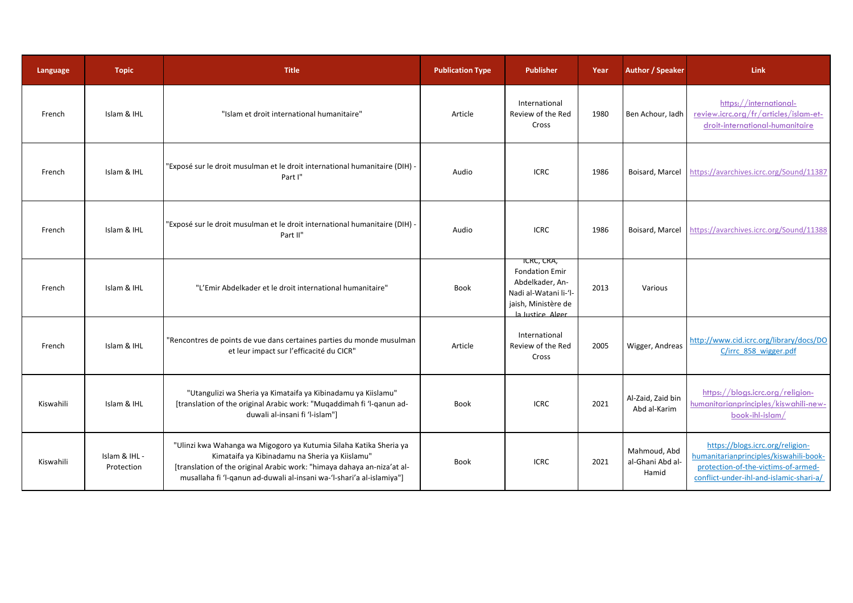| Language  | <b>Topic</b>                | <b>Title</b>                                                                                                                                                                                                                                                             | <b>Publication Type</b> | <b>Publisher</b>                                                                                                           | Year | <b>Author / Speaker</b>                   | <b>Link</b>                                                                                                                                                  |
|-----------|-----------------------------|--------------------------------------------------------------------------------------------------------------------------------------------------------------------------------------------------------------------------------------------------------------------------|-------------------------|----------------------------------------------------------------------------------------------------------------------------|------|-------------------------------------------|--------------------------------------------------------------------------------------------------------------------------------------------------------------|
| French    | Islam & IHL                 | "Islam et droit international humanitaire"                                                                                                                                                                                                                               | Article                 | International<br>Review of the Red<br>Cross                                                                                | 1980 | Ben Achour, ladh                          | https://international-<br>review.icrc.org/fr/articles/islam-et-<br>droit-international-humanitaire                                                           |
| French    | Islam & IHL                 | "Exposé sur le droit musulman et le droit international humanitaire (DIH) -<br>Part I"                                                                                                                                                                                   | Audio                   | <b>ICRC</b>                                                                                                                | 1986 |                                           | Boisard, Marcel https://avarchives.icrc.org/Sound/11387                                                                                                      |
| French    | Islam & IHL                 | "Exposé sur le droit musulman et le droit international humanitaire (DIH) -<br>Part II"                                                                                                                                                                                  | Audio                   | <b>ICRC</b>                                                                                                                | 1986 |                                           | Boisard, Marcel https://avarchives.icrc.org/Sound/11388                                                                                                      |
| French    | Islam & IHL                 | "L'Emir Abdelkader et le droit international humanitaire"                                                                                                                                                                                                                | Book                    | ICRC, CRA,<br><b>Fondation Emir</b><br>Abdelkader, An-<br>Nadi al-Watani li-'l-<br>jaish, Ministère de<br>la lustice Alger | 2013 | Various                                   |                                                                                                                                                              |
| French    | Islam & IHL                 | "Rencontres de points de vue dans certaines parties du monde musulman<br>et leur impact sur l'efficacité du CICR"                                                                                                                                                        | Article                 | International<br>Review of the Red<br>Cross                                                                                | 2005 | Wigger, Andreas                           | http://www.cid.icrc.org/library/docs/DO<br>C/irrc 858 wigger.pdf                                                                                             |
| Kiswahili | Islam & IHL                 | "Utangulizi wa Sheria ya Kimataifa ya Kibinadamu ya Kiislamu"<br>[translation of the original Arabic work: "Muqaddimah fi 'l-qanun ad-<br>duwali al-insani fi 'l-islam"]                                                                                                 | <b>Book</b>             | <b>ICRC</b>                                                                                                                | 2021 | Al-Zaid, Zaid bin<br>Abd al-Karim         | https://blogs.icrc.org/religion-<br>humanitarianprinciples/kiswahili-new-<br>$book\text{-}ih\text{-}islam/$                                                  |
| Kiswahili | Islam & IHL -<br>Protection | "Ulinzi kwa Wahanga wa Migogoro ya Kutumia Silaha Katika Sheria ya<br>Kimataifa ya Kibinadamu na Sheria ya Kiislamu"<br>[translation of the original Arabic work: "himaya dahaya an-niza'at al-<br>musallaha fi 'l-qanun ad-duwali al-insani wa-'l-shari'a al-islamiya"] | Book                    | <b>ICRC</b>                                                                                                                | 2021 | Mahmoud, Abd<br>al-Ghani Abd al-<br>Hamid | https://blogs.icrc.org/religion-<br>humanitarianprinciples/kiswahili-book-<br>protection-of-the-victims-of-armed-<br>conflict-under-ihl-and-islamic-shari-a/ |